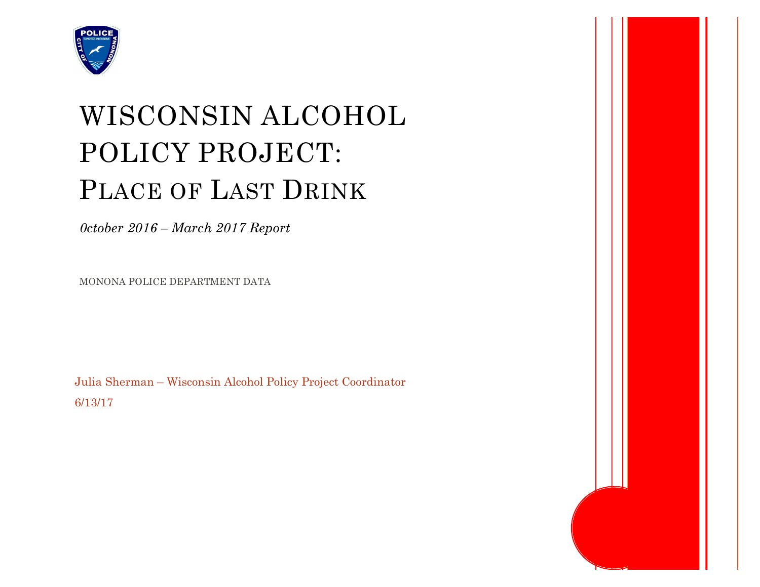

# WISCONSIN ALCOHOL POLICY PROJECT: PLACE OF LAST DRINK

*0ctober 2016 – March 2017 Report*

MONONA POLICE DEPARTMENT DATA

Julia Sherman – Wisconsin Alcohol Policy Project Coordinator 6/13/17

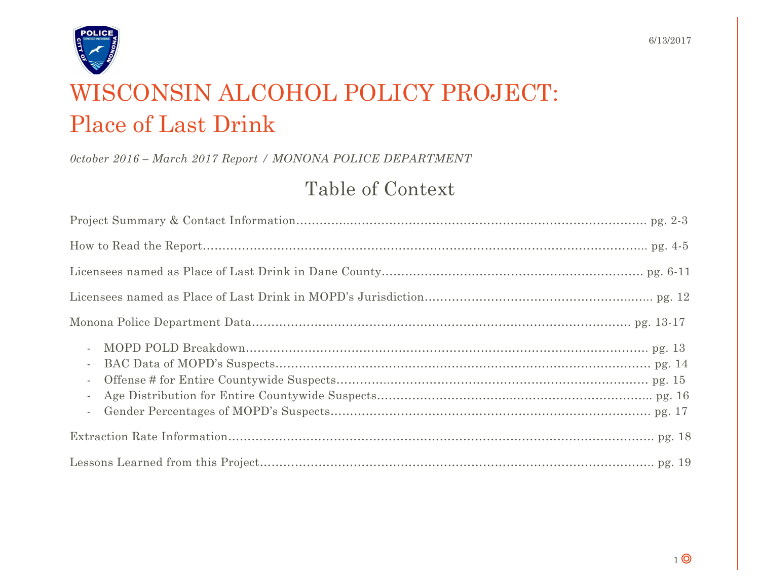

## WISCONSIN ALCOHOL POLICY PROJECT: Place of Last Drink

*0ctober 2016 – March 2017 Report / MONONA POLICE DEPARTMENT*

### Table of Context

| $\sim$<br>$\sim$<br>$\overline{\phantom{a}}$<br>$\overline{\phantom{a}}$<br>$\overline{\phantom{a}}$ |
|------------------------------------------------------------------------------------------------------|
|                                                                                                      |
|                                                                                                      |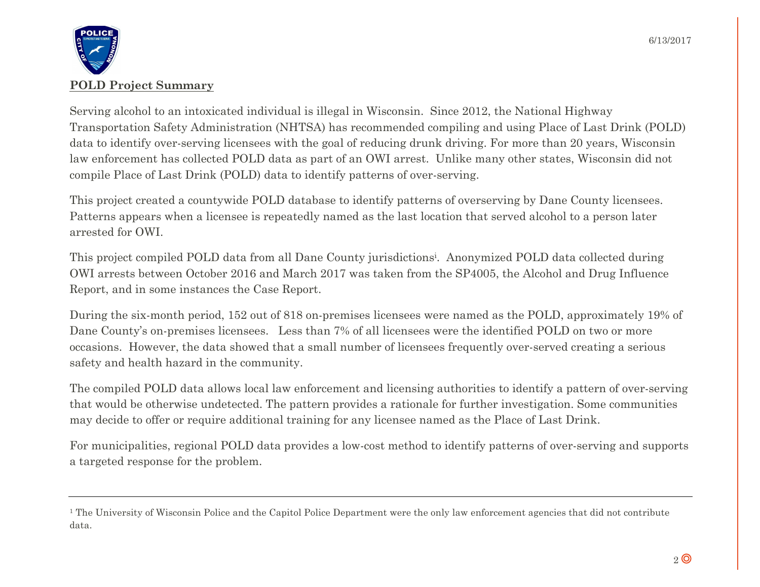

Serving alcohol to an intoxicated individual is illegal in Wisconsin. Since 2012, the National Highway Transportation Safety Administration (NHTSA) has recommended compiling and using Place of Last Drink (POLD) data to identify over-serving licensees with the goal of reducing drunk driving. For more than 20 years, Wisconsin law enforcement has collected POLD data as part of an OWI arrest. Unlike many other states, Wisconsin did not compile Place of Last Drink (POLD) data to identify patterns of over-serving.

This project created a countywide POLD database to identify patterns of overserving by Dane County licensees. Patterns appears when a licensee is repeatedly named as the last location that served alcohol to a person later arrested for OWI.

This project compiled POLD data from all Dane County jurisdictionsi . Anonymized POLD data collected during OWI arrests between October 2016 and March 2017 was taken from the SP4005, the Alcohol and Drug Influence Report, and in some instances the Case Report.

During the six-month period, 152 out of 818 on-premises licensees were named as the POLD, approximately 19% of Dane County's on-premises licensees. Less than 7% of all licensees were the identified POLD on two or more occasions. However, the data showed that a small number of licensees frequently over-served creating a serious safety and health hazard in the community.

The compiled POLD data allows local law enforcement and licensing authorities to identify a pattern of over-serving that would be otherwise undetected. The pattern provides a rationale for further investigation. Some communities may decide to offer or require additional training for any licensee named as the Place of Last Drink.

For municipalities, regional POLD data provides a low-cost method to identify patterns of over-serving and supports a targeted response for the problem.

<sup>&</sup>lt;sup>1</sup> The University of Wisconsin Police and the Capitol Police Department were the only law enforcement agencies that did not contribute data.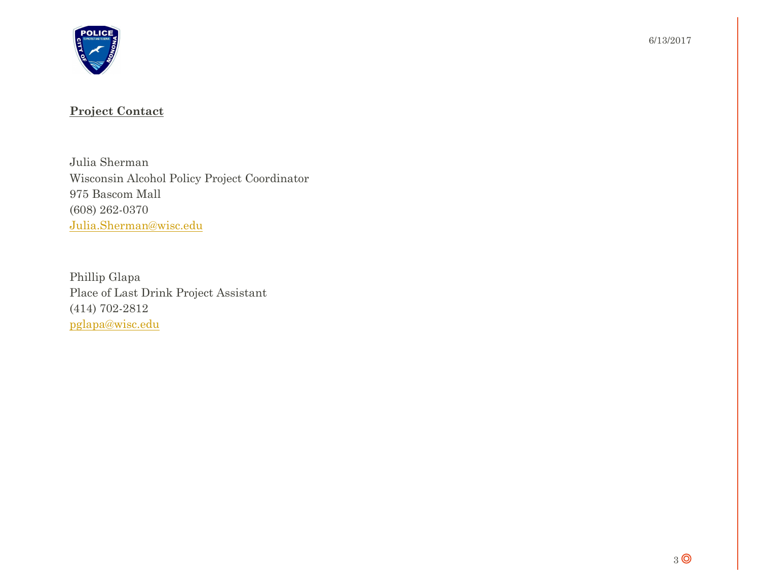

#### **Project Contact**

Julia Sherman Wisconsin Alcohol Policy Project Coordinator 975 Bascom Mall (608) 262-0370 Julia.Sherman@wisc.edu

Phillip Glapa Place of Last Drink Project Assistant (414) 702-2812 pglapa@wisc.edu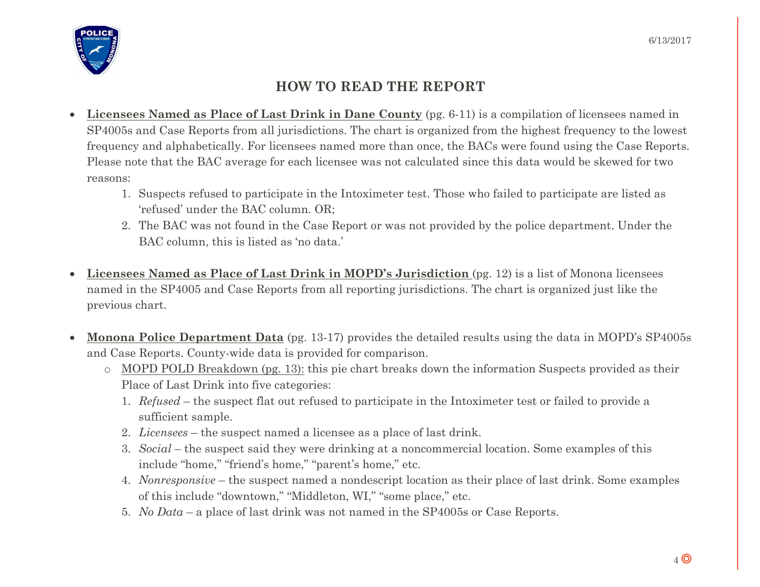

#### **HOW TO READ THE REPORT**

- **Licensees Named as Place of Last Drink in Dane County** (pg. 6-11) is a compilation of licensees named in SP4005s and Case Reports from all jurisdictions. The chart is organized from the highest frequency to the lowest frequency and alphabetically. For licensees named more than once, the BACs were found using the Case Reports. Please note that the BAC average for each licensee was not calculated since this data would be skewed for two reasons:
	- 1. Suspects refused to participate in the Intoximeter test. Those who failed to participate are listed as 'refused' under the BAC column. OR;
	- 2. The BAC was not found in the Case Report or was not provided by the police department. Under the BAC column, this is listed as 'no data.'
- **Licensees Named as Place of Last Drink in MOPD's Jurisdiction** (pg. 12) is a list of Monona licensees named in the SP4005 and Case Reports from all reporting jurisdictions. The chart is organized just like the previous chart.
- **Monona Police Department Data** (pg. 13-17) provides the detailed results using the data in MOPD's SP4005s and Case Reports. County-wide data is provided for comparison.
	- o MOPD POLD Breakdown (pg. 13): this pie chart breaks down the information Suspects provided as their Place of Last Drink into five categories:
		- 1. *Refused* the suspect flat out refused to participate in the Intoximeter test or failed to provide a sufficient sample.
		- 2. *Licensees* the suspect named a licensee as a place of last drink.
		- 3. *Social* the suspect said they were drinking at a noncommercial location. Some examples of this include "home," "friend's home," "parent's home," etc.
		- 4. *Nonresponsive* the suspect named a nondescript location as their place of last drink. Some examples of this include "downtown," "Middleton, WI," "some place," etc.
		- 5. *No Data* a place of last drink was not named in the SP4005s or Case Reports.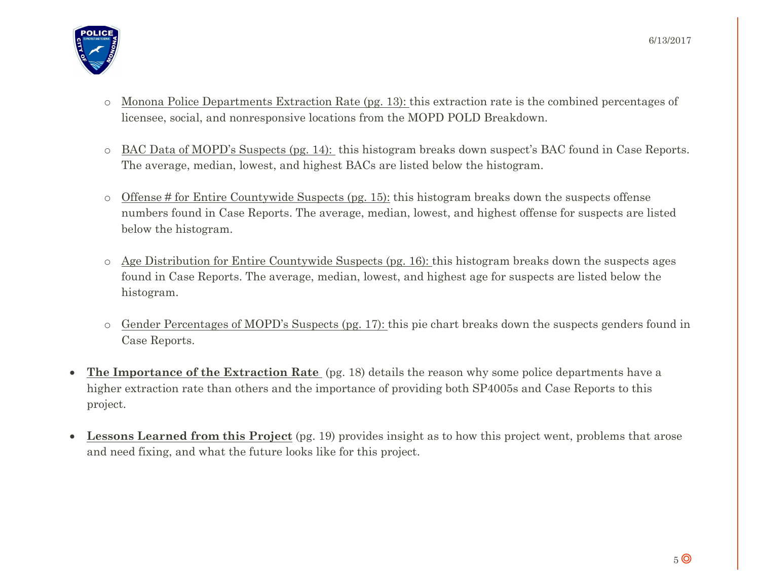- o Monona Police Departments Extraction Rate (pg. 13): this extraction rate is the combined percentages of licensee, social, and nonresponsive locations from the MOPD POLD Breakdown.
- o BAC Data of MOPD's Suspects (pg. 14): this histogram breaks down suspect's BAC found in Case Reports. The average, median, lowest, and highest BACs are listed below the histogram.
- o Offense # for Entire Countywide Suspects (pg. 15): this histogram breaks down the suspects offense numbers found in Case Reports. The average, median, lowest, and highest offense for suspects are listed below the histogram.
- o Age Distribution for Entire Countywide Suspects (pg. 16): this histogram breaks down the suspects ages found in Case Reports. The average, median, lowest, and highest age for suspects are listed below the histogram.
- o Gender Percentages of MOPD's Suspects (pg. 17): this pie chart breaks down the suspects genders found in Case Reports.
- **The Importance of the Extraction Rate** (pg. 18) details the reason why some police departments have a higher extraction rate than others and the importance of providing both SP4005s and Case Reports to this project.
- **Lessons Learned from this Project** (pg. 19) provides insight as to how this project went, problems that arose and need fixing, and what the future looks like for this project.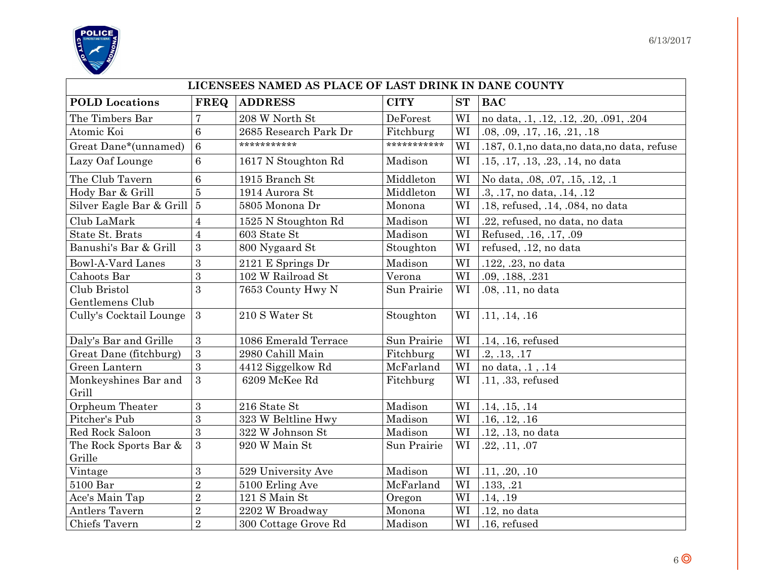



| LICENSEES NAMED AS PLACE OF LAST DRINK IN DANE COUNTY |                  |                                                          |             |    |                                              |  |  |  |
|-------------------------------------------------------|------------------|----------------------------------------------------------|-------------|----|----------------------------------------------|--|--|--|
| <b>POLD</b> Locations                                 | <b>FREQ</b>      | <b>ADDRESS</b><br><b>CITY</b><br><b>ST</b><br><b>BAC</b> |             |    |                                              |  |  |  |
| The Timbers Bar                                       | $\overline{7}$   | 208 W North St                                           | DeForest    | WI | no data, .1, .12, .12, .20, .091, .204       |  |  |  |
| Atomic Koi                                            | $6\phantom{1}6$  | 2685 Research Park Dr                                    | Fitchburg   | WI | .08, .09, .17, .16, .21, .18                 |  |  |  |
| Great Dane*(unnamed)                                  | $\overline{6}$   | ***********                                              | *********** | WI | .187, 0.1, no data, no data, no data, refuse |  |  |  |
| Lazy Oaf Lounge                                       | $6\phantom{1}6$  | 1617 N Stoughton Rd                                      | Madison     | WI | .15, .17, .13, .23, .14, no data             |  |  |  |
| The Club Tavern                                       | $6\phantom{1}6$  | 1915 Branch St                                           | Middleton   | WI | No data, .08, .07, .15, .12, .1              |  |  |  |
| Hody Bar & Grill                                      | $\overline{5}$   | 1914 Aurora St                                           | Middleton   | WI | .3, .17, no data, .14, .12                   |  |  |  |
| Silver Eagle Bar & Grill 5                            |                  | 5805 Monona Dr                                           | Monona      | WI | .18, refused, .14, .084, no data             |  |  |  |
| Club LaMark                                           | $\overline{4}$   | 1525 N Stoughton Rd                                      | Madison     | WI | .22, refused, no data, no data               |  |  |  |
| State St. Brats                                       | $\overline{4}$   | 603 State St                                             | Madison     | WI | Refused, .16, .17, .09                       |  |  |  |
| Banushi's Bar & Grill                                 | 3                | 800 Nygaard St                                           | Stoughton   | WI | refused, .12, no data                        |  |  |  |
| <b>Bowl-A-Vard Lanes</b>                              | $\mathbf{3}$     | 2121 E Springs Dr                                        | Madison     | WI | .122, .23, no data                           |  |  |  |
| Cahoots Bar                                           | 3                | 102 W Railroad St                                        | Verona      | WI | .09, .188, .231                              |  |  |  |
| Club Bristol                                          | 3                | 7653 County Hwy N                                        | Sun Prairie | WI | .08, .11, no data                            |  |  |  |
| Gentlemens Club                                       |                  |                                                          |             |    |                                              |  |  |  |
| Cully's Cocktail Lounge                               | 3                | 210 S Water St                                           | Stoughton   | WI | .11, .14, .16                                |  |  |  |
| Daly's Bar and Grille                                 | 3                | 1086 Emerald Terrace                                     | Sun Prairie | WI | .14, .16, refused                            |  |  |  |
| Great Dane (fitchburg)                                | $\overline{3}$   | 2980 Cahill Main                                         | Fitchburg   | WI | .2, .13, .17                                 |  |  |  |
| Green Lantern                                         | 3                | 4412 Siggelkow Rd                                        | McFarland   | WI | no data, .1, .14                             |  |  |  |
| Monkeyshines Bar and<br>Grill                         | 3                | 6209 McKee Rd                                            | Fitchburg   | WI | .11, .33, refused                            |  |  |  |
| Orpheum Theater                                       | $\boldsymbol{3}$ | 216 State St                                             | Madison     | WI | .14, .15, .14                                |  |  |  |
| Pitcher's Pub                                         | 3                | 323 W Beltline Hwy                                       | Madison     | WI | .16, .12, .16                                |  |  |  |
| Red Rock Saloon                                       | 3                | 322 W Johnson St                                         | Madison     | WI | .12, .13, no data                            |  |  |  |
| The Rock Sports Bar &                                 | 3                | 920 W Main St                                            | Sun Prairie | WI | .22, .11, .07                                |  |  |  |
| Grille                                                |                  |                                                          |             |    |                                              |  |  |  |
| Vintage                                               | $\mathbf{3}$     | 529 University Ave                                       | Madison     | WI | .11, .20, .10                                |  |  |  |
| 5100 Bar                                              | $\overline{2}$   | 5100 Erling Ave                                          | McFarland   | WI | .133, .21                                    |  |  |  |
| Ace's Main Tap                                        | $\overline{2}$   | 121 S Main St                                            | Oregon      | WI | .14, .19                                     |  |  |  |
| Antlers Tavern                                        | $\overline{2}$   | 2202 W Broadway                                          | Monona      | WI | .12, no data                                 |  |  |  |
| Chiefs Tavern                                         | $\overline{2}$   | 300 Cottage Grove Rd                                     | Madison     | WI | .16, refused                                 |  |  |  |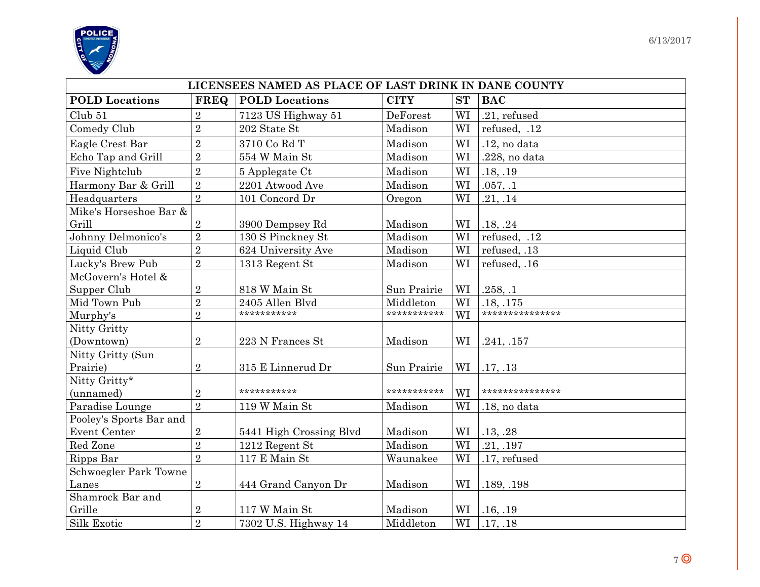

| LICENSEES NAMED AS PLACE OF LAST DRINK IN DANE COUNTY |                |                         |             |           |                 |  |  |  |
|-------------------------------------------------------|----------------|-------------------------|-------------|-----------|-----------------|--|--|--|
| <b>POLD</b> Locations                                 | <b>FREQ</b>    | <b>POLD</b> Locations   | <b>CITY</b> | <b>ST</b> | <b>BAC</b>      |  |  |  |
| Club 51                                               | $\overline{2}$ | 7123 US Highway 51      | DeForest    | WI        | .21, refused    |  |  |  |
| Comedy Club                                           | $\overline{2}$ | 202 State St            | Madison     | WI        | refused, .12    |  |  |  |
| Eagle Crest Bar                                       | $\overline{2}$ | 3710 Co Rd T            | Madison     | WI        | .12, no data    |  |  |  |
| Echo Tap and Grill                                    | $\overline{2}$ | 554 W Main St           | Madison     | WI        | .228, no data   |  |  |  |
| Five Nightclub                                        | $\overline{2}$ | 5 Applegate Ct          | Madison     | WI        | .18, .19        |  |  |  |
| Harmony Bar & Grill                                   | $\overline{2}$ | 2201 Atwood Ave         | Madison     | WI        | .057, .1        |  |  |  |
| Headquarters                                          | $\overline{2}$ | 101 Concord Dr          | Oregon      | WI        | .21, .14        |  |  |  |
| Mike's Horseshoe Bar &                                |                |                         |             |           |                 |  |  |  |
| Grill                                                 | $\sqrt{2}$     | 3900 Dempsey Rd         | Madison     | WI        | .18, .24        |  |  |  |
| Johnny Delmonico's                                    | $\overline{2}$ | 130 S Pinckney St       | Madison     | WI        | refused, .12    |  |  |  |
| Liquid Club                                           | $\overline{2}$ | 624 University Ave      | Madison     | WI        | refused, .13    |  |  |  |
| Lucky's Brew Pub                                      | $\overline{2}$ | 1313 Regent St          | Madison     | WI        | refused, .16    |  |  |  |
| McGovern's Hotel &                                    |                |                         |             |           |                 |  |  |  |
| Supper Club                                           | $\overline{2}$ | 818 W Main St           | Sun Prairie | WI        | .258, .1        |  |  |  |
| Mid Town Pub                                          | $\overline{2}$ | 2405 Allen Blvd         | Middleton   | WI        | .18, .175       |  |  |  |
| Murphy's                                              | $\overline{2}$ | ***********             | *********** | WI        | *************** |  |  |  |
| Nitty Gritty                                          |                |                         |             |           |                 |  |  |  |
| (Downtown)                                            | $\overline{2}$ | 223 N Frances St        | Madison     | WI        | .241, .157      |  |  |  |
| Nitty Gritty (Sun                                     |                |                         |             |           |                 |  |  |  |
| Prairie)                                              | $\overline{2}$ | 315 E Linnerud Dr       | Sun Prairie | WI        | .17, .13        |  |  |  |
| Nitty Gritty*                                         |                |                         |             |           |                 |  |  |  |
| (unnamed)                                             | $\sqrt{2}$     | ***********             | *********** | WI        | *************** |  |  |  |
| Paradise Lounge                                       | $\overline{2}$ | 119 W Main St           | Madison     | WI        | .18, no data    |  |  |  |
| Pooley's Sports Bar and                               |                |                         |             |           |                 |  |  |  |
| Event Center                                          | $\sqrt{2}$     | 5441 High Crossing Blvd | Madison     | WI        | .13, .28        |  |  |  |
| Red Zone                                              | $\overline{2}$ | 1212 Regent St          | Madison     | WI        | .21, .197       |  |  |  |
| Ripps Bar                                             | $\overline{2}$ | 117 E Main St           | Waunakee    | WI        | .17, refused    |  |  |  |
| Schwoegler Park Towne                                 |                |                         |             |           |                 |  |  |  |
| Lanes                                                 | $\sqrt{2}$     | 444 Grand Canyon Dr     | Madison     | WI        | .189, .198      |  |  |  |
| Shamrock Bar and                                      |                |                         |             |           |                 |  |  |  |
| Grille                                                | $\sqrt{2}$     | 117 W Main St           | Madison     | WI        | .16, .19        |  |  |  |
| Silk Exotic                                           | $\overline{2}$ | 7302 U.S. Highway 14    | Middleton   | WI        | .17, .18        |  |  |  |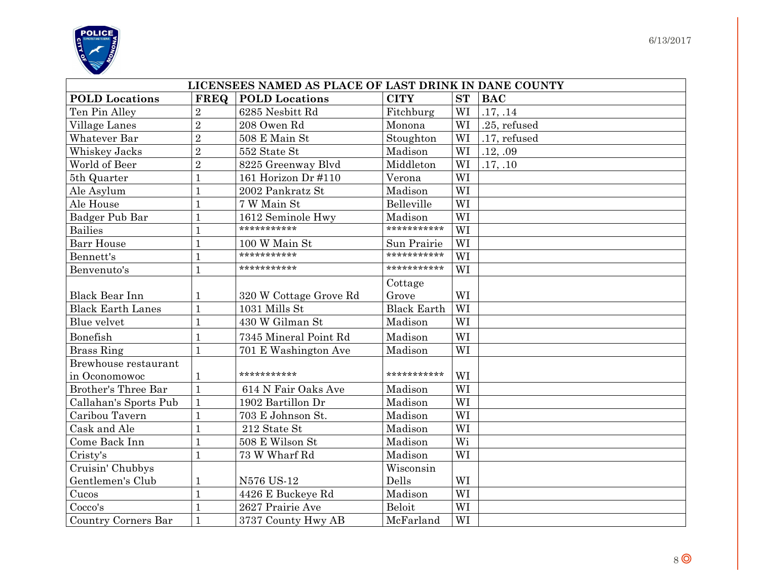

| LICENSEES NAMED AS PLACE OF LAST DRINK IN DANE COUNTY |                |                        |                    |           |              |  |  |  |
|-------------------------------------------------------|----------------|------------------------|--------------------|-----------|--------------|--|--|--|
| <b>POLD</b> Locations                                 | <b>FREQ</b>    | <b>POLD</b> Locations  | <b>CITY</b>        | <b>ST</b> | <b>BAC</b>   |  |  |  |
| Ten Pin Alley                                         | $\overline{2}$ | 6285 Nesbitt Rd        | Fitchburg          | WI        | .17, .14     |  |  |  |
| Village Lanes                                         | $\overline{2}$ | 208 Owen Rd            | Monona             | WI        | .25, refused |  |  |  |
| Whatever Bar                                          | $\overline{2}$ | 508 E Main St          | Stoughton          | WI        | .17, refused |  |  |  |
| Whiskey Jacks                                         | $\overline{2}$ | 552 State St           | Madison            | WI        | .12, .09     |  |  |  |
| World of Beer                                         | $\overline{2}$ | 8225 Greenway Blvd     | Middleton          | WI        | .17, .10     |  |  |  |
| 5th Quarter                                           | $\mathbf{1}$   | 161 Horizon Dr #110    | Verona             | WI        |              |  |  |  |
| Ale Asylum                                            | $\mathbf{1}$   | 2002 Pankratz St       | Madison            | WI        |              |  |  |  |
| Ale House                                             | $\mathbf{1}$   | 7 W Main St            | Belleville         | WI        |              |  |  |  |
| Badger Pub Bar                                        | $\mathbf{1}$   | 1612 Seminole Hwy      | Madison            | WI        |              |  |  |  |
| <b>Bailies</b>                                        | 1              | ***********            | ***********        | WI        |              |  |  |  |
| <b>Barr House</b>                                     | $\overline{1}$ | 100 W Main St          | Sun Prairie        | WI        |              |  |  |  |
| Bennett's                                             | $\mathbf{1}$   | ***********            | ***********        | WI        |              |  |  |  |
| Benvenuto's                                           | $\overline{1}$ | ***********            | ***********        | WI        |              |  |  |  |
|                                                       |                |                        | Cottage            |           |              |  |  |  |
| <b>Black Bear Inn</b>                                 | 1              | 320 W Cottage Grove Rd | Grove              | WI        |              |  |  |  |
| <b>Black Earth Lanes</b>                              | $\overline{1}$ | 1031 Mills St          | <b>Black Earth</b> | WI        |              |  |  |  |
| Blue velvet                                           | $\overline{1}$ | 430 W Gilman St        | Madison            | WI        |              |  |  |  |
| Bonefish                                              | $\mathbf{1}$   | 7345 Mineral Point Rd  | Madison            | WI        |              |  |  |  |
| <b>Brass Ring</b>                                     | $\overline{1}$ | 701 E Washington Ave   | Madison            | WI        |              |  |  |  |
| Brewhouse restaurant                                  |                |                        |                    |           |              |  |  |  |
| in Oconomowoc                                         | 1              | ***********            | ***********        | WI        |              |  |  |  |
| Brother's Three Bar                                   | $\overline{1}$ | 614 N Fair Oaks Ave    | Madison            | WI        |              |  |  |  |
| Callahan's Sports Pub                                 | $\mathbf{1}$   | 1902 Bartillon Dr      | Madison            | WI        |              |  |  |  |
| Caribou Tavern                                        | $\mathbf{1}$   | 703 E Johnson St.      | Madison            | WI        |              |  |  |  |
| Cask and Ale                                          | $\mathbf{1}$   | 212 State St           | Madison            | WI        |              |  |  |  |
| Come Back Inn                                         | $\mathbf{1}$   | 508 E Wilson St        | Madison            | Wi        |              |  |  |  |
| Cristy's                                              | $\overline{1}$ | 73 W Wharf Rd          | Madison            | WI        |              |  |  |  |
| Cruisin' Chubbys                                      |                |                        | Wisconsin          |           |              |  |  |  |
| Gentlemen's Club                                      | 1              | N576 US-12             | Dells              | WI        |              |  |  |  |
| Cucos                                                 | 1              | 4426 E Buckeye Rd      | Madison            | WI        |              |  |  |  |
| Cocco's                                               | $\overline{1}$ | 2627 Prairie Ave       | <b>Beloit</b>      | WI        |              |  |  |  |
| Country Corners Bar                                   | $\mathbf{1}$   | 3737 County Hwy AB     | McFarland          | WI        |              |  |  |  |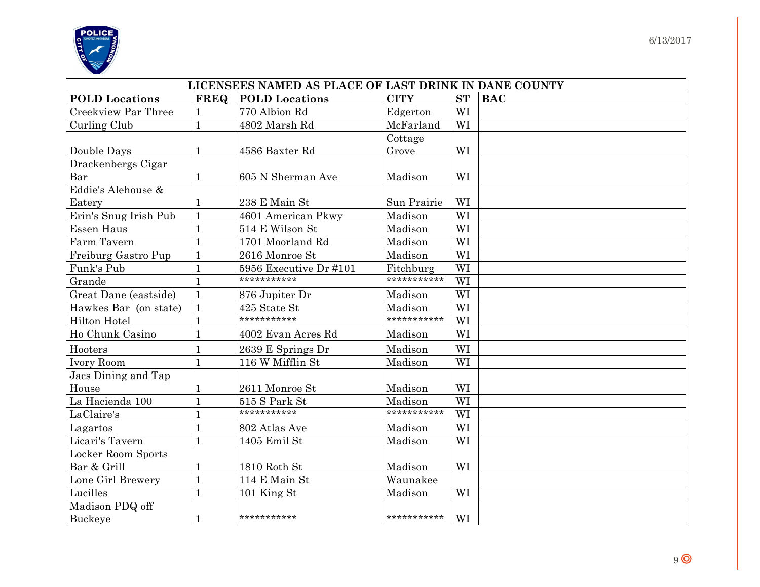

|                       | LICENSEES NAMED AS PLACE OF LAST DRINK IN DANE COUNTY |                        |             |           |            |  |  |  |
|-----------------------|-------------------------------------------------------|------------------------|-------------|-----------|------------|--|--|--|
| <b>POLD</b> Locations | <b>FREQ</b>                                           | <b>POLD</b> Locations  | <b>CITY</b> | <b>ST</b> | <b>BAC</b> |  |  |  |
| Creekview Par Three   |                                                       | 770 Albion Rd          | Edgerton    | WI        |            |  |  |  |
| Curling Club          | $\mathbf{1}$                                          | 4802 Marsh Rd          | McFarland   | WI        |            |  |  |  |
|                       |                                                       |                        | Cottage     |           |            |  |  |  |
| Double Days           | 1                                                     | 4586 Baxter Rd         | Grove       | WI        |            |  |  |  |
| Drackenbergs Cigar    |                                                       |                        |             |           |            |  |  |  |
| Bar                   | 1                                                     | 605 N Sherman Ave      | Madison     | WI        |            |  |  |  |
| Eddie's Alehouse &    |                                                       |                        |             |           |            |  |  |  |
| Eatery                |                                                       | 238 E Main St          | Sun Prairie | WI        |            |  |  |  |
| Erin's Snug Irish Pub | $\mathbf{1}$                                          | 4601 American Pkwy     | Madison     | WI        |            |  |  |  |
| <b>Essen Haus</b>     |                                                       | 514 E Wilson St        | Madison     | WI        |            |  |  |  |
| Farm Tavern           | 1                                                     | 1701 Moorland Rd       | Madison     | WI        |            |  |  |  |
| Freiburg Gastro Pup   | $\mathbf{1}$                                          | 2616 Monroe St         | Madison     | WI        |            |  |  |  |
| Funk's Pub            | $\overline{1}$                                        | 5956 Executive Dr #101 | Fitchburg   | WI        |            |  |  |  |
| Grande                |                                                       | ***********            | *********** | WI        |            |  |  |  |
| Great Dane (eastside) | $\mathbf{1}$                                          | 876 Jupiter Dr         | Madison     | WI        |            |  |  |  |
| Hawkes Bar (on state) | $\mathbf{1}$                                          | 425 State St           | Madison     | WI        |            |  |  |  |
| Hilton Hotel          |                                                       | ***********            | *********** | WI        |            |  |  |  |
| Ho Chunk Casino       | $\mathbf{1}$                                          | 4002 Evan Acres Rd     | Madison     | WI        |            |  |  |  |
| Hooters               |                                                       | 2639 E Springs Dr      | Madison     | WI        |            |  |  |  |
| Ivory Room            | $\mathbf{1}$                                          | 116 W Mifflin St       | Madison     | WI        |            |  |  |  |
| Jacs Dining and Tap   |                                                       |                        |             |           |            |  |  |  |
| House                 | 1                                                     | 2611 Monroe St         | Madison     | WI        |            |  |  |  |
| La Hacienda 100       | $\mathbf{1}$                                          | 515 S Park St          | Madison     | WI        |            |  |  |  |
| LaClaire's            |                                                       | ***********            | *********** | WI        |            |  |  |  |
| Lagartos              | 1                                                     | 802 Atlas Ave          | Madison     | WI        |            |  |  |  |
| Licari's Tavern       | $\mathbf{1}$                                          | 1405 Emil St           | Madison     | WI        |            |  |  |  |
| Locker Room Sports    |                                                       |                        |             |           |            |  |  |  |
| Bar & Grill           | 1                                                     | 1810 Roth St           | Madison     | WI        |            |  |  |  |
| Lone Girl Brewery     | $\mathbf{1}$                                          | 114 E Main St          | Waunakee    |           |            |  |  |  |
| Lucilles              | 1                                                     | 101 King St            | Madison     | WI        |            |  |  |  |
| Madison PDQ off       |                                                       |                        |             |           |            |  |  |  |
| <b>Buckeye</b>        | 1                                                     | ***********            | *********** | WI        |            |  |  |  |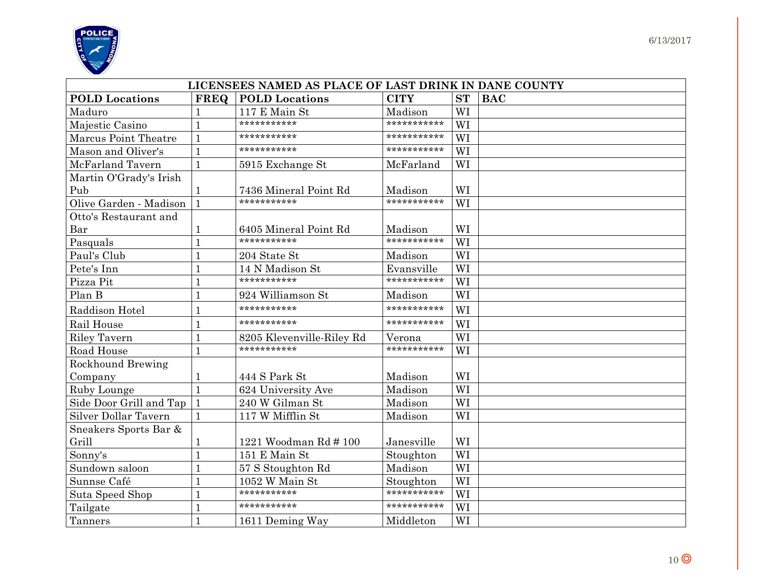

| LICENSEES NAMED AS PLACE OF LAST DRINK IN DANE COUNTY |             |                           |             |           |            |  |  |
|-------------------------------------------------------|-------------|---------------------------|-------------|-----------|------------|--|--|
| <b>POLD</b> Locations                                 | <b>FREQ</b> | <b>POLD</b> Locations     | <b>CITY</b> | <b>ST</b> | <b>BAC</b> |  |  |
| Maduro                                                |             | 117 E Main St             | Madison     | WI        |            |  |  |
| Majestic Casino                                       |             | ***********               | *********** | WI        |            |  |  |
| Marcus Point Theatre                                  |             | ***********               | *********** | WI        |            |  |  |
| Mason and Oliver's                                    |             | ***********               | *********** | WI        |            |  |  |
| McFarland Tavern                                      |             | 5915 Exchange St          | McFarland   | WI        |            |  |  |
| Martin O'Grady's Irish                                |             |                           |             |           |            |  |  |
| Pub                                                   |             | 7436 Mineral Point Rd     | Madison     | WI        |            |  |  |
| Olive Garden - Madison                                |             | ***********               | *********** | WI        |            |  |  |
| Otto's Restaurant and                                 |             |                           |             |           |            |  |  |
| Bar                                                   |             | 6405 Mineral Point Rd     | Madison     | WI        |            |  |  |
| Pasquals                                              |             | ***********               | *********** | WI        |            |  |  |
| Paul's Club                                           |             | 204 State St              | Madison     | WI        |            |  |  |
| Pete's Inn                                            |             | 14 N Madison St           | Evansville  | WI        |            |  |  |
| Pizza Pit                                             |             | ***********               | *********** | WI        |            |  |  |
| Plan B                                                |             | 924 Williamson St         | Madison     | WI        |            |  |  |
| Raddison Hotel                                        |             | ***********               | *********** | WI        |            |  |  |
| Rail House                                            |             | ***********               | *********** | WI        |            |  |  |
| <b>Riley Tavern</b>                                   |             | 8205 Klevenville-Riley Rd | Verona      | WI        |            |  |  |
| Road House                                            |             | ***********               | *********** | WI        |            |  |  |
| <b>Rockhound Brewing</b>                              |             |                           |             |           |            |  |  |
| Company                                               |             | 444 S Park St             | Madison     | WI        |            |  |  |
| Ruby Lounge                                           |             | 624 University Ave        | Madison     | WI        |            |  |  |
| Side Door Grill and Tap                               |             | 240 W Gilman St           | Madison     | WI        |            |  |  |
| Silver Dollar Tavern                                  |             | 117 W Mifflin St          | Madison     | WI        |            |  |  |
| Sneakers Sports Bar &                                 |             |                           |             |           |            |  |  |
| Grill                                                 |             | 1221 Woodman Rd # 100     | Janesville  | WI        |            |  |  |
| Sonny's                                               |             | 151 E Main St             | Stoughton   | WI        |            |  |  |
| Sundown saloon                                        |             | 57 S Stoughton Rd         | Madison     | WI        |            |  |  |
| Sunnse Café                                           |             | 1052 W Main St            | Stoughton   | WI        |            |  |  |
| Suta Speed Shop                                       |             | ***********               | *********** | WI        |            |  |  |
| Tailgate                                              |             | ***********               | *********** | WI        |            |  |  |
| Tanners                                               |             | 1611 Deming Way           | Middleton   | WI        |            |  |  |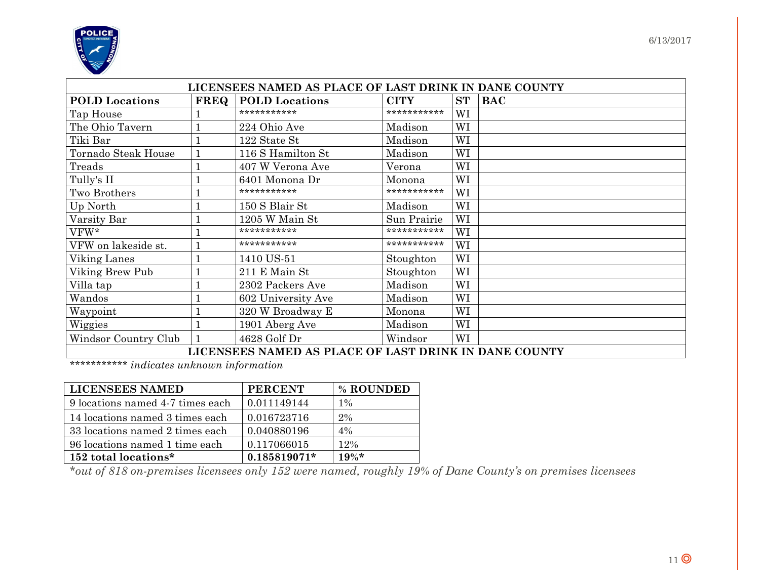

| LICENSEES NAMED AS PLACE OF LAST DRINK IN DANE COUNTY |             |                                                       |             |           |            |  |  |
|-------------------------------------------------------|-------------|-------------------------------------------------------|-------------|-----------|------------|--|--|
| <b>POLD</b> Locations                                 | <b>FREQ</b> | <b>POLD</b> Locations                                 | <b>CITY</b> | <b>ST</b> | <b>BAC</b> |  |  |
| Tap House                                             |             | ***********                                           | *********** | WI        |            |  |  |
| The Ohio Tavern                                       |             | 224 Ohio Ave                                          | Madison     | WI        |            |  |  |
| Tiki Bar                                              |             | 122 State St                                          | Madison     | WI        |            |  |  |
| Tornado Steak House                                   |             | 116 S Hamilton St                                     | Madison     | WI        |            |  |  |
| Treads                                                |             | 407 W Verona Ave                                      | Verona      | WI        |            |  |  |
| Tully's II                                            |             | 6401 Monona Dr                                        | Monona      | WI        |            |  |  |
| Two Brothers                                          |             | ***********                                           | *********** | WI        |            |  |  |
| Up North                                              |             | 150 S Blair St                                        | Madison     | WI        |            |  |  |
| Varsity Bar                                           |             | 1205 W Main St                                        | Sun Prairie | WI        |            |  |  |
| VFW*                                                  |             | ***********                                           | *********** | WI        |            |  |  |
| VFW on lakeside st.                                   |             | ***********                                           | *********** | WI        |            |  |  |
| Viking Lanes                                          |             | 1410 US-51                                            | Stoughton   | WI        |            |  |  |
| Viking Brew Pub                                       |             | 211 E Main St                                         | Stoughton   | WI        |            |  |  |
| Villa tap                                             |             | 2302 Packers Ave                                      | Madison     | WI        |            |  |  |
| Wandos                                                |             | 602 University Ave                                    | Madison     | WI        |            |  |  |
| Waypoint                                              |             | 320 W Broadway E                                      | Monona      | WI        |            |  |  |
| Wiggies                                               |             | 1901 Aberg Ave                                        | Madison     | WI        |            |  |  |
| Windsor Country Club                                  |             | 4628 Golf Dr                                          | Windsor     | WI        |            |  |  |
|                                                       |             | LICENSEES NAMED AS PLACE OF LAST DRINK IN DANE COUNTY |             |           |            |  |  |

*\*\*\*\*\*\*\*\*\*\*\* indicates unknown information* 

| <b>LICENSEES NAMED</b>           | <b>PERCENT</b> | % ROUNDED |
|----------------------------------|----------------|-----------|
| 9 locations named 4-7 times each | 0.011149144    | $1\%$     |
| 14 locations named 3 times each  | 0.016723716    | 2%        |
| 33 locations named 2 times each  | 0.040880196    | $4\%$     |
| 96 locations named 1 time each   | 0.117066015    | 12%       |
| 152 total locations*             | $0.185819071*$ | $19\%*$   |

*\*out of 818 on-premises licensees only 152 were named, roughly 19% of Dane County's on premises licensees*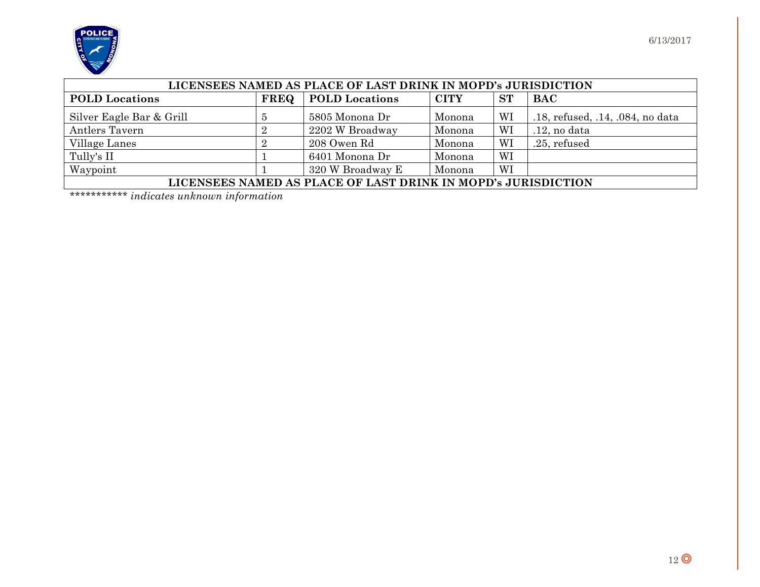

| LICENSEES NAMED AS PLACE OF LAST DRINK IN MOPD's JURISDICTION |             |                       |             |           |                                  |  |
|---------------------------------------------------------------|-------------|-----------------------|-------------|-----------|----------------------------------|--|
| <b>POLD</b> Locations                                         | <b>FREQ</b> | <b>POLD</b> Locations | <b>CITY</b> | <b>ST</b> | BAC                              |  |
| Silver Eagle Bar & Grill                                      |             | 5805 Monona Dr        | Monona      | WI        | .18, refused, .14, .084, no data |  |
| Antlers Tavern                                                |             | 2202 W Broadway       | Monona      | WI        | $.12$ , no data                  |  |
| Village Lanes                                                 |             | 208 Owen Rd           | Monona      | WI        | .25, refused                     |  |
| Tully's II                                                    |             | 6401 Monona Dr        | Monona      | WI        |                                  |  |
| Waypoint                                                      |             | 320 W Broadway E      | Monona      | WI        |                                  |  |
| LICENSEES NAMED AS PLACE OF LAST DRINK IN MOPD's JURISDICTION |             |                       |             |           |                                  |  |

*\*\*\*\*\*\*\*\*\*\*\* indicates unknown information*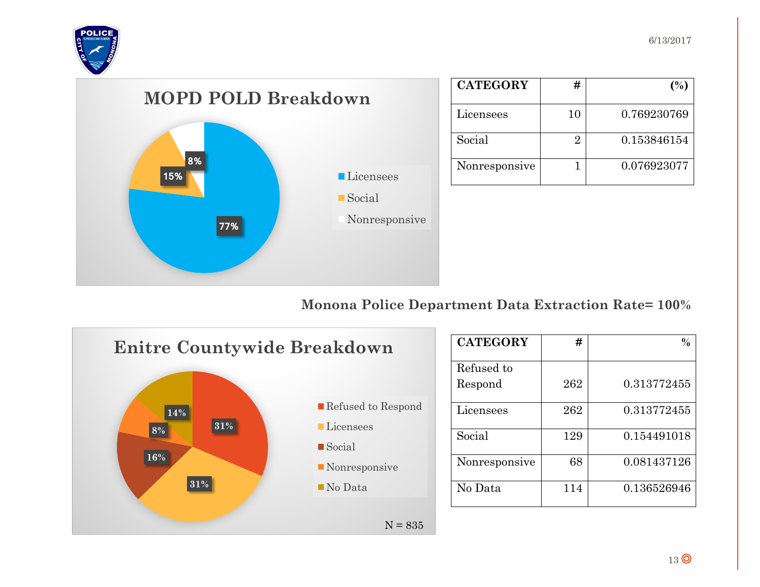



| <b>CATEGORY</b> | #  | (%)         |
|-----------------|----|-------------|
| Licensees       | 10 | 0.769230769 |
| Social          |    | 0.153846154 |
| Nonresponsive   |    | 0.076923077 |



#### **Monona Police Department Data Extraction Rate= 100%**



| <b>CATEGORY</b> | #   |             |
|-----------------|-----|-------------|
|                 |     |             |
| Refused to      |     |             |
| Respond         | 262 | 0.313772455 |
| Licensees       | 262 | 0.313772455 |
| Social          | 129 | 0.154491018 |
| Nonresponsive   | 68  | 0.081437126 |
| No Data         | 114 | 0.136526946 |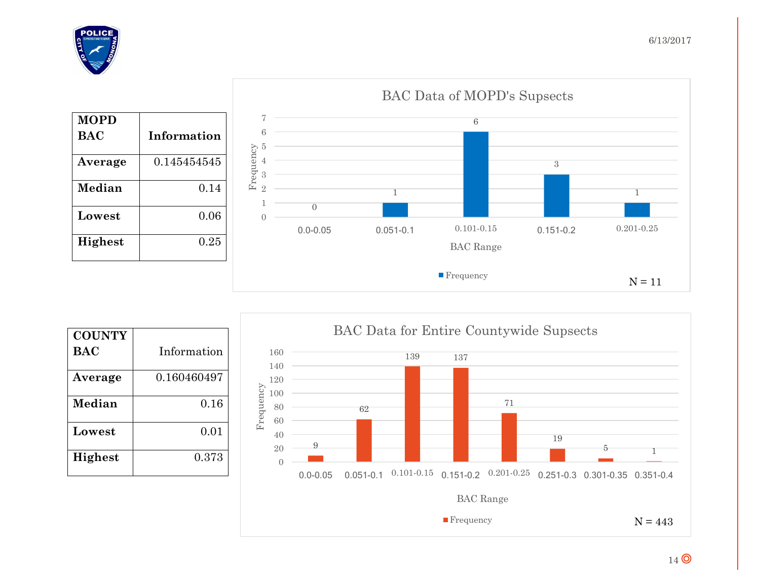



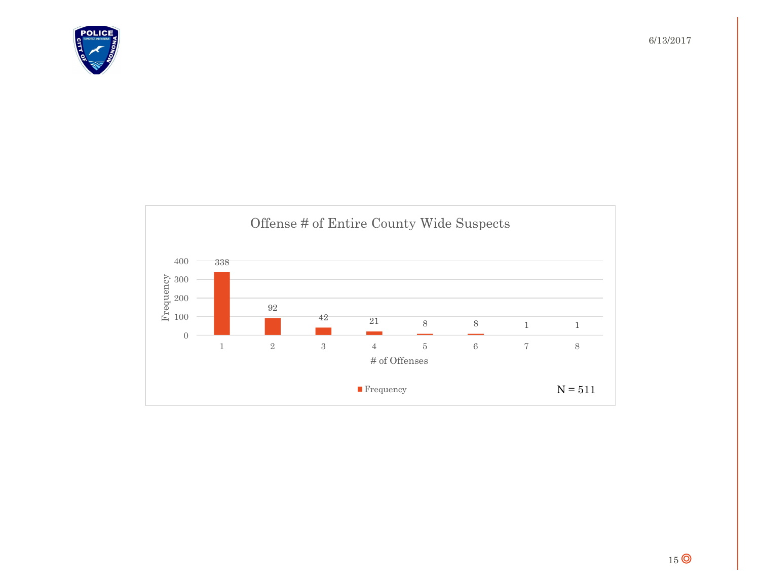

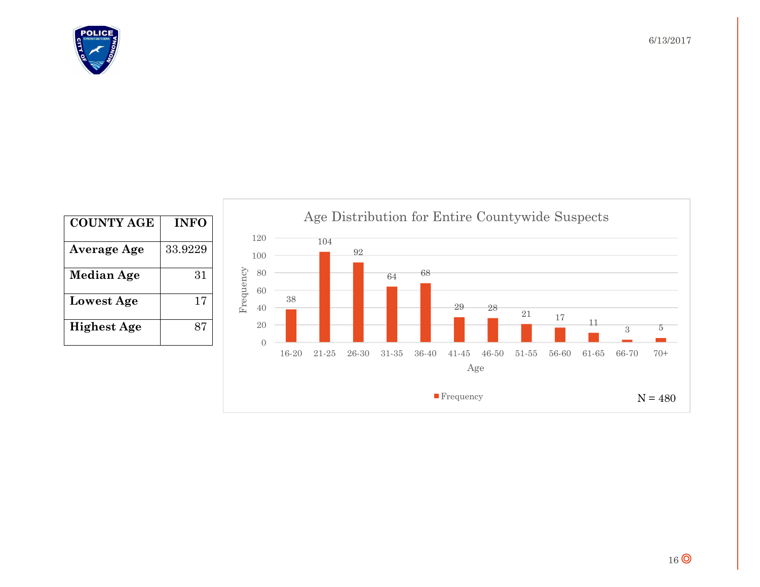

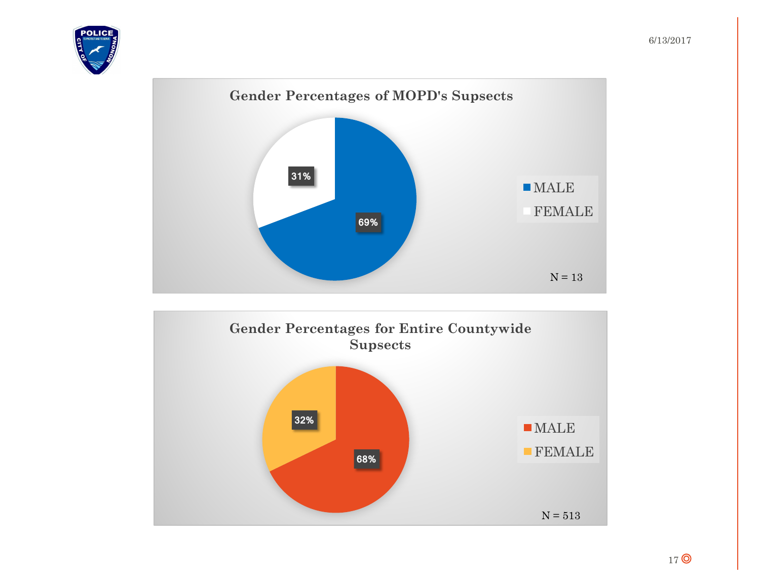



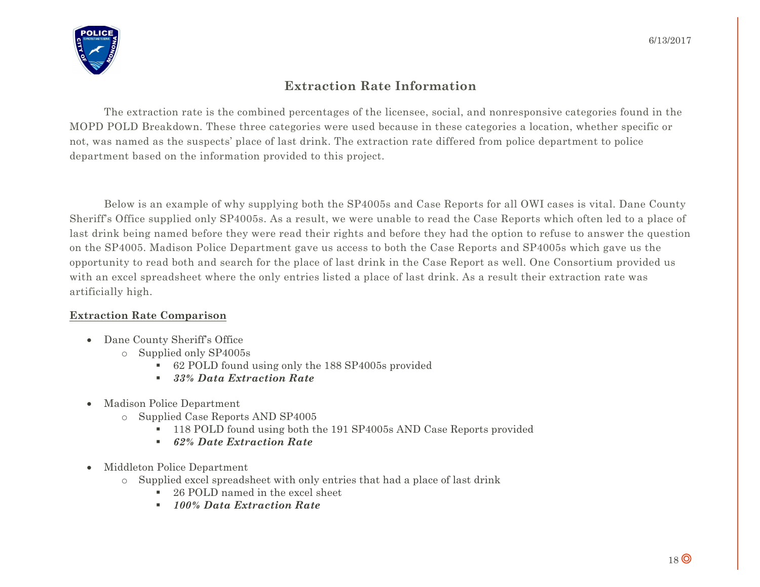

#### **Extraction Rate Information**

The extraction rate is the combined percentages of the licensee, social, and nonresponsive categories found in the MOPD POLD Breakdown. These three categories were used because in these categories a location, whether specific or not, was named as the suspects' place of last drink. The extraction rate differed from police department to police department based on the information provided to this project.

Below is an example of why supplying both the SP4005s and Case Reports for all OWI cases is vital. Dane County Sheriff's Office supplied only SP4005s. As a result, we were unable to read the Case Reports which often led to a place of last drink being named before they were read their rights and before they had the option to refuse to answer the question on the SP4005. Madison Police Department gave us access to both the Case Reports and SP4005s which gave us the opportunity to read both and search for the place of last drink in the Case Report as well. One Consortium provided us with an excel spreadsheet where the only entries listed a place of last drink. As a result their extraction rate was artificially high.

#### **Extraction Rate Comparison**

- Dane County Sheriff's Office
	- o Supplied only SP4005s
		- § 62 POLD found using only the 188 SP4005s provided
		- § *33% Data Extraction Rate*
- Madison Police Department
	- o Supplied Case Reports AND SP4005
		- § 118 POLD found using both the 191 SP4005s AND Case Reports provided
		- § *62% Date Extraction Rate*
- Middleton Police Department
	- o Supplied excel spreadsheet with only entries that had a place of last drink
		- 26 POLD named in the excel sheet
		- § *100% Data Extraction Rate*